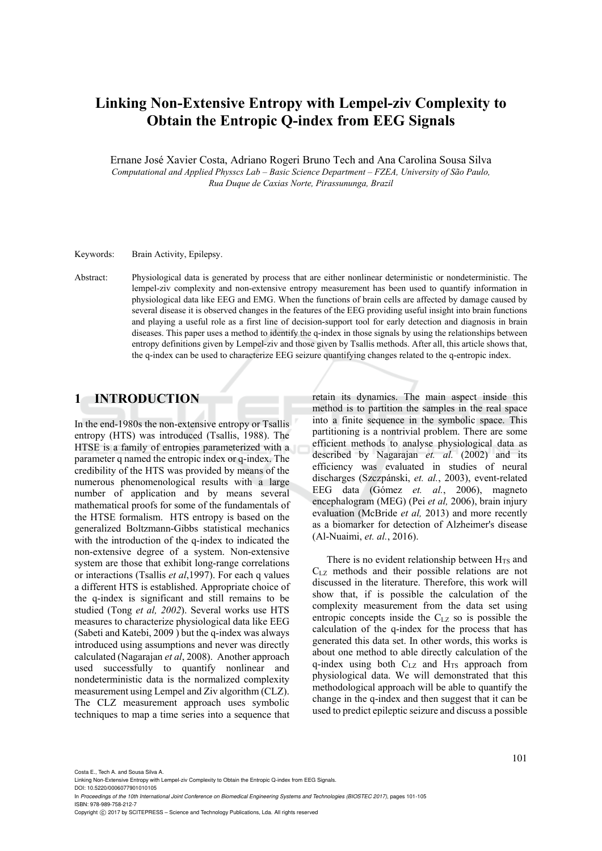# **Linking Non-Extensive Entropy with Lempel-ziv Complexity to Obtain the Entropic Q-index from EEG Signals**

Ernane José Xavier Costa, Adriano Rogeri Bruno Tech and Ana Carolina Sousa Silva *Computational and Applied Physscs Lab – Basic Science Department – FZEA, University of São Paulo, Rua Duque de Caxias Norte, Pirassununga, Brazil* 

Keywords: Brain Activity, Epilepsy.

Abstract: Physiological data is generated by process that are either nonlinear deterministic or nondeterministic. The lempel-ziv complexity and non-extensive entropy measurement has been used to quantify information in physiological data like EEG and EMG. When the functions of brain cells are affected by damage caused by several disease it is observed changes in the features of the EEG providing useful insight into brain functions and playing a useful role as a first line of decision-support tool for early detection and diagnosis in brain diseases. This paper uses a method to identify the q-index in those signals by using the relationships between entropy definitions given by Lempel-ziv and those given by Tsallis methods. After all, this article shows that, the q-index can be used to characterize EEG seizure quantifying changes related to the q-entropic index.

# **1 INTRODUCTION**

In the end-1980s the non-extensive entropy or Tsallis entropy (HTS) was introduced (Tsallis, 1988). The HTSE is a family of entropies parameterized with a parameter q named the entropic index or q-index. The credibility of the HTS was provided by means of the numerous phenomenological results with a large number of application and by means several mathematical proofs for some of the fundamentals of the HTSE formalism. HTS entropy is based on the generalized Boltzmann-Gibbs statistical mechanics with the introduction of the q-index to indicated the non-extensive degree of a system. Non-extensive system are those that exhibit long-range correlations or interactions (Tsallis *et al*,1997). For each q values a different HTS is established. Appropriate choice of the q-index is significant and still remains to be studied (Tong *et al, 2002*). Several works use HTS measures to characterize physiological data like EEG (Sabeti and Katebi, 2009 ) but the q-index was always introduced using assumptions and never was directly calculated (Nagarajan *et al*, 2008). Another approach used successfully to quantify nonlinear and nondeterministic data is the normalized complexity measurement using Lempel and Ziv algorithm (CLZ). The CLZ measurement approach uses symbolic techniques to map a time series into a sequence that

retain its dynamics. The main aspect inside this method is to partition the samples in the real space into a finite sequence in the symbolic space. This partitioning is a nontrivial problem. There are some efficient methods to analyse physiological data as described by Nagarajan *et. al.* (2002) and its efficiency was evaluated in studies of neural discharges (Szczpánski, *et. al.*, 2003), event-related EEG data (Gómez *et. al.*, 2006), magneto encephalogram (MEG) (Pei *et al,* 2006), brain injury evaluation (McBride *et al,* 2013) and more recently as a biomarker for detection of Alzheimer's disease (Al-Nuaimi, *et. al.*, 2016).

There is no evident relationship between  $H_{TS}$  and CLZ methods and their possible relations are not discussed in the literature. Therefore, this work will show that, if is possible the calculation of the complexity measurement from the data set using entropic concepts inside the  $C_{LZ}$  so is possible the calculation of the q-index for the process that has generated this data set. In other words, this works is about one method to able directly calculation of the  $q$ -index using both  $C_{LZ}$  and  $H_{TS}$  approach from physiological data. We will demonstrated that this methodological approach will be able to quantify the change in the q-index and then suggest that it can be used to predict epileptic seizure and discuss a possible

Costa E., Tech A. and Sousa Silva A.

In *Proceedings of the 10th International Joint Conference on Biomedical Engineering Systems and Technologies (BIOSTEC 2017)*, pages 101-105 ISBN: 978-989-758-212-7

Copyright (C) 2017 by SCITEPRESS - Science and Technology Publications, Lda. All rights reserved

Linking Non-Extensive Entropy with Lempel-ziv Complexity to Obtain the Entropic Q-index from EEG Signals. DOI: 10.5220/0006077901010105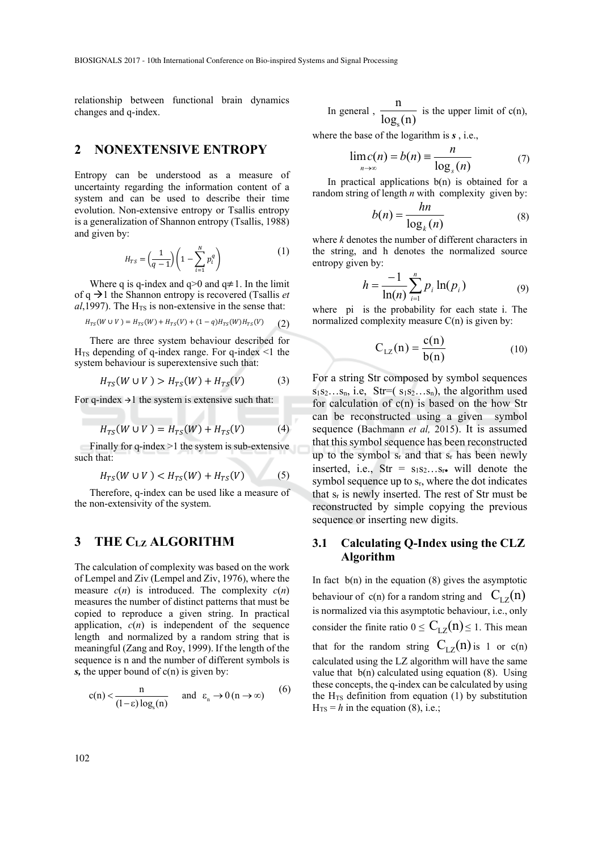relationship between functional brain dynamics changes and q-index.

#### **2 NONEXTENSIVE ENTROPY**

Entropy can be understood as a measure of uncertainty regarding the information content of a system and can be used to describe their time evolution. Non-extensive entropy or Tsallis entropy is a generalization of Shannon entropy (Tsallis, 1988) and given by:

$$
H_{TS} = \left(\frac{1}{q-1}\right) \left(1 - \sum_{i=1}^{N} p_i^q\right) \tag{1}
$$

Where q is q-index and  $q>0$  and  $q\neq1$ . In the limit of  $q \rightarrow 1$  the Shannon entropy is recovered (Tsallis *et*  $a$ l,1997). The H<sub>TS</sub> is non-extensive in the sense that:

$$
H_{TS}(W \cup V) = H_{TS}(W) + H_{TS}(V) + (1 - q)H_{TS}(W)H_{TS}(V) \tag{2}
$$

There are three system behaviour described for  $H<sub>TS</sub>$  depending of q-index range. For q-index <1 the system behaviour is superextensive such that:

$$
H_{TS}(W \cup V) > H_{TS}(W) + H_{TS}(V) \tag{3}
$$

For q-index  $\rightarrow$  1 the system is extensive such that:

$$
H_{TS}(W \cup V) = H_{TS}(W) + H_{TS}(V) \tag{4}
$$

Finally for q-index >1 the system is sub-extensive such that:

$$
H_{TS}(W \cup V) < H_{TS}(W) + H_{TS}(V) \tag{5}
$$

Therefore, q-index can be used like a measure of the non-extensivity of the system.

#### **3 THE CLZ ALGORITHM**

The calculation of complexity was based on the work of Lempel and Ziv (Lempel and Ziv, 1976), where the measure  $c(n)$  is introduced. The complexity  $c(n)$ measures the number of distinct patterns that must be copied to reproduce a given string. In practical application,  $c(n)$  is independent of the sequence length and normalized by a random string that is meaningful (Zang and Roy, 1999). If the length of the sequence is n and the number of different symbols is  $s$ , the upper bound of  $c(n)$  is given by:

$$
c(n) < \frac{n}{(1-\epsilon)\log_s(n)} \quad \text{ and } \varepsilon_n \to 0 \text{ (n \to \infty)} \tag{6}
$$

In general,  $\frac{1}{\log_5(n)}$ n s is the upper limit of  $c(n)$ ,

where the base of the logarithm is *s* , i.e.,

$$
\lim_{n \to \infty} c(n) = b(n) \equiv \frac{n}{\log_s(n)} \tag{7}
$$

In practical applications  $b(n)$  is obtained for a random string of length *n* with complexity given by:

$$
b(n) = \frac{hn}{\log_k(n)}\tag{8}
$$

where *k* denotes the number of different characters in the string, and h denotes the normalized source entropy given by:

$$
h = \frac{-1}{\ln(n)} \sum_{i=1}^{n} p_i \ln(p_i)
$$
 (9)

where pi is the probability for each state i. The normalized complexity measure  $C(n)$  is given by:

$$
C_{LZ}(n) = \frac{c(n)}{b(n)}\tag{10}
$$

For a string Str composed by symbol sequences  $s_1s_2...s_n$ , i.e, Str=( $s_1s_2...s_n$ ), the algorithm used for calculation of  $c(n)$  is based on the how Str can be reconstructed using a given symbol sequence (Bachmann *et al,* 2015). It is assumed that this symbol sequence has been reconstructed up to the symbol  $s_r$  and that  $s_r$  has been newly inserted, i.e.,  $\text{Str} = \text{s}_1 \text{s}_2 \dots \text{s}_r$  will denote the symbol sequence up to s<sub>r</sub>, where the dot indicates that  $s_r$  is newly inserted. The rest of Str must be reconstructed by simple copying the previous sequence or inserting new digits.

#### **3.1 Calculating Q-Index using the CLZ Algorithm**

In fact  $b(n)$  in the equation (8) gives the asymptotic behaviour of c(n) for a random string and  $C_{\text{I}z}(n)$ is normalized via this asymptotic behaviour, i.e., only consider the finite ratio  $0 \leq C_{1z}(n) \leq 1$ . This mean that for the random string  $C_{\text{I}z}(n)$  is 1 or c(n) calculated using the LZ algorithm will have the same value that  $b(n)$  calculated using equation  $(8)$ . Using these concepts, the q-index can be calculated by using the  $H<sub>TS</sub>$  definition from equation (1) by substitution  $H<sub>TS</sub> = h$  in the equation (8), i.e.;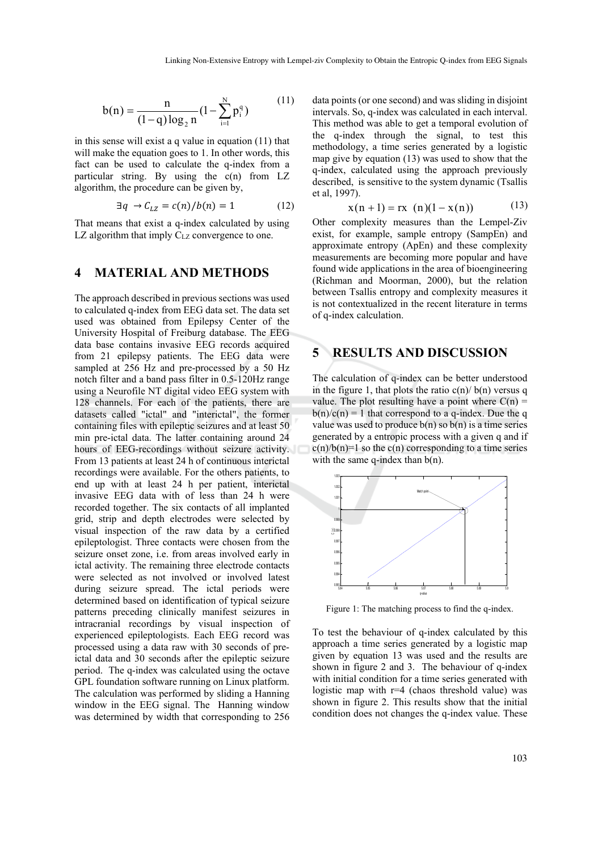$$
b(n) = \frac{n}{(1-q)\log_2 n} (1 - \sum_{i=1}^{N} p_i^q)
$$
 (11)

in this sense will exist a q value in equation (11) that will make the equation goes to 1. In other words, this fact can be used to calculate the q-index from a particular string. By using the  $c(n)$  from LZ algorithm, the procedure can be given by,

$$
\exists q \to C_{LZ} = c(n)/b(n) = 1 \tag{12}
$$

That means that exist a q-index calculated by using LZ algorithm that imply  $C_{1Z}$  convergence to one.

#### **4 MATERIAL AND METHODS**

The approach described in previous sections was used to calculated q-index from EEG data set. The data set used was obtained from Epilepsy Center of the University Hospital of Freiburg database. The EEG data base contains invasive EEG records acquired from 21 epilepsy patients. The EEG data were sampled at 256 Hz and pre-processed by a 50 Hz notch filter and a band pass filter in 0.5-120Hz range using a Neurofile NT digital video EEG system with 128 channels. For each of the patients, there are datasets called "ictal" and "interictal", the former containing files with epileptic seizures and at least 50 min pre-ictal data. The latter containing around 24 hours of EEG-recordings without seizure activity. From 13 patients at least 24 h of continuous interictal recordings were available. For the others patients, to end up with at least 24 h per patient, interictal invasive EEG data with of less than 24 h were recorded together. The six contacts of all implanted grid, strip and depth electrodes were selected by visual inspection of the raw data by a certified epileptologist. Three contacts were chosen from the seizure onset zone, i.e. from areas involved early in ictal activity. The remaining three electrode contacts were selected as not involved or involved latest during seizure spread. The ictal periods were determined based on identification of typical seizure patterns preceding clinically manifest seizures in intracranial recordings by visual inspection of experienced epileptologists. Each EEG record was processed using a data raw with 30 seconds of preictal data and 30 seconds after the epileptic seizure period. The q-index was calculated using the octave GPL foundation software running on Linux platform. The calculation was performed by sliding a Hanning window in the EEG signal. The Hanning window was determined by width that corresponding to 256

data points (or one second) and was sliding in disjoint intervals. So, q-index was calculated in each interval. This method was able to get a temporal evolution of the q-index through the signal, to test this methodology, a time series generated by a logistic map give by equation (13) was used to show that the q-index, calculated using the approach previously described, is sensitive to the system dynamic (Tsallis et al, 1997).

$$
x(n + 1) = rx (n)(1 - x(n))
$$
 (13)

Other complexity measures than the Lempel-Ziv exist, for example, sample entropy (SampEn) and approximate entropy (ApEn) and these complexity measurements are becoming more popular and have found wide applications in the area of bioengineering (Richman and Moorman, 2000), but the relation between Tsallis entropy and complexity measures it is not contextualized in the recent literature in terms of q-index calculation.

#### **5 RESULTS AND DISCUSSION**

The calculation of q-index can be better understood in the figure 1, that plots the ratio  $c(n)/b(n)$  versus q value. The plot resulting have a point where  $C(n)$  =  $b(n)/c(n) = 1$  that correspond to a q-index. Due the q value was used to produce  $b(n)$  so  $b(n)$  is a time series generated by a entropic process with a given q and if  $c(n)/b(n)=1$  so the  $c(n)$  corresponding to a time series with the same q-index than  $b(n)$ .



Figure 1: The matching process to find the q-index.

To test the behaviour of q-index calculated by this approach a time series generated by a logistic map given by equation 13 was used and the results are shown in figure 2 and 3. The behaviour of q-index with initial condition for a time series generated with logistic map with r=4 (chaos threshold value) was shown in figure 2. This results show that the initial condition does not changes the q-index value. These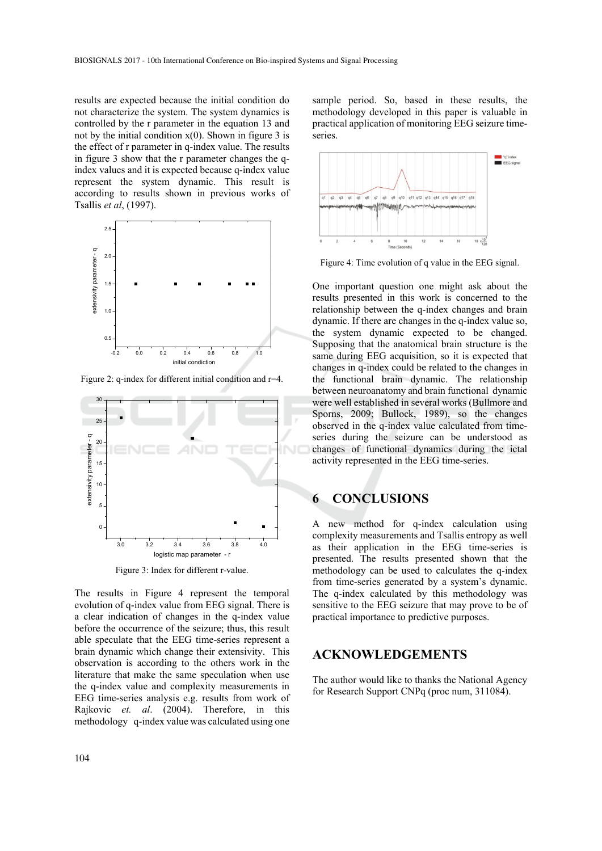results are expected because the initial condition do not characterize the system. The system dynamics is controlled by the r parameter in the equation 13 and not by the initial condition  $x(0)$ . Shown in figure 3 is the effect of r parameter in q-index value. The results in figure 3 show that the r parameter changes the qindex values and it is expected because q-index value represent the system dynamic. This result is according to results shown in previous works of Tsallis *et al*, (1997).



Figure 2: q-index for different initial condition and r=4.



Figure 3: Index for different r-value.

The results in Figure 4 represent the temporal evolution of q-index value from EEG signal. There is a clear indication of changes in the q-index value before the occurrence of the seizure; thus, this result able speculate that the EEG time-series represent a brain dynamic which change their extensivity. This observation is according to the others work in the literature that make the same speculation when use the q-index value and complexity measurements in EEG time-series analysis e.g. results from work of Rajkovic *et. al*. (2004). Therefore, in this methodology q-index value was calculated using one

sample period. So, based in these results, the methodology developed in this paper is valuable in practical application of monitoring EEG seizure timeseries.



Figure 4: Time evolution of q value in the EEG signal.

One important question one might ask about the results presented in this work is concerned to the relationship between the q-index changes and brain dynamic. If there are changes in the q-index value so, the system dynamic expected to be changed. Supposing that the anatomical brain structure is the same during EEG acquisition, so it is expected that changes in q-index could be related to the changes in the functional brain dynamic. The relationship between neuroanatomy and brain functional dynamic were well established in several works (Bullmore and Sporns, 2009; Bullock, 1989), so the changes observed in the q-index value calculated from timeseries during the seizure can be understood as changes of functional dynamics during the ictal activity represented in the EEG time-series.

## **6 CONCLUSIONS**

A new method for q-index calculation using complexity measurements and Tsallis entropy as well as their application in the EEG time-series is presented. The results presented shown that the methodology can be used to calculates the q-index from time-series generated by a system's dynamic. The q-index calculated by this methodology was sensitive to the EEG seizure that may prove to be of practical importance to predictive purposes.

#### **ACKNOWLEDGEMENTS**

The author would like to thanks the National Agency for Research Support CNPq (proc num, 311084).